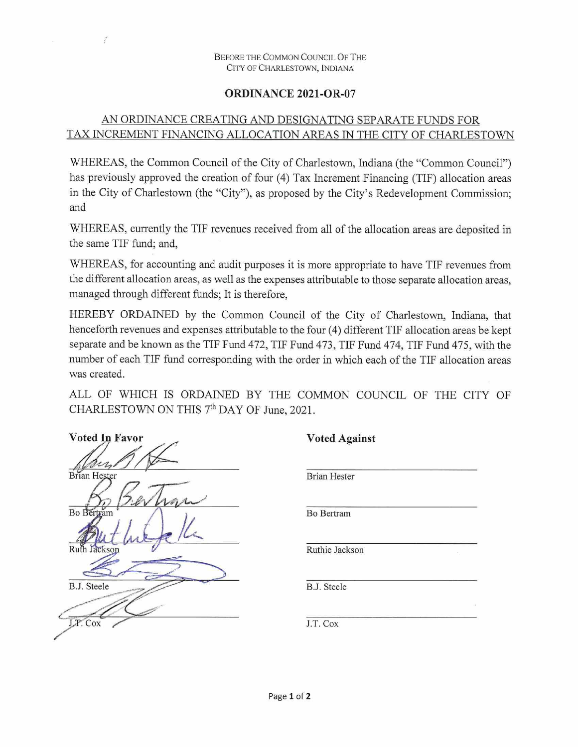## Before the Common Council O<sup>f</sup> The City of Charlestown, Indiana

## **ORDINANCE 2021-OR-07**

## AN ORDINANCE CREATING AND DESIGNATING SEPARATE FUNDS FOR TAX INCREMENT FINANCING ALLOCATION AREAS IN THE CITY OF CHARLESTOWN

WHEREAS, the Common Council of the City of Charlestown, Indiana (the "Common Council") has previously approved the creation of four (4) Tax Increment Financing (TIF) allocation areas in the City of Charlestown (the "City"), as proposed by the City's Redevelopment Commission; and

WHEREAS, currently the TIF revenues received from all of the allocation areas are deposited in the same TIF fund; and,

WHEREAS, for accounting and audit purposes it is more appropriate to have TIF revenues from the different allocation areas, as well as the expenses attributable to those separate allocation areas, managed through different funds; It is therefore,

HEREBY ORDAINED by the Common Council of the City of Charlestown, Indiana, that henceforth revenues and expenses attributable to the four (4) different TIF allocation areas be kept separate and be known as the TIF Fund 472, TIF Fund 473, TIF Fund 474, TIF Fund 475, with the number of each TIF fund corresponding with the order in which each of the TIF allocation areas was created.

ALL OF WHICH IS ORDAINED BY THE COMMON COUNCIL OF THE CITY OF CHARLESTOWN ON THIS 7<sup>th</sup> DAY OF June, 2021.

| Voted In Favor     |
|--------------------|
|                    |
| Brian Hester       |
| τ                  |
| Bo Bertram         |
|                    |
| Ruth Jackson       |
|                    |
| <b>B.J.</b> Steele |
|                    |
| J.P. Cox           |

Í

 $\mathbf{v}_{\mathbf{r},i}$ 

| <b>Brian Hester</b> |    |
|---------------------|----|
| Bo Bertram          |    |
| Ruthie Jackson      | ×  |
| B.J. Steele         |    |
|                     | ÷. |